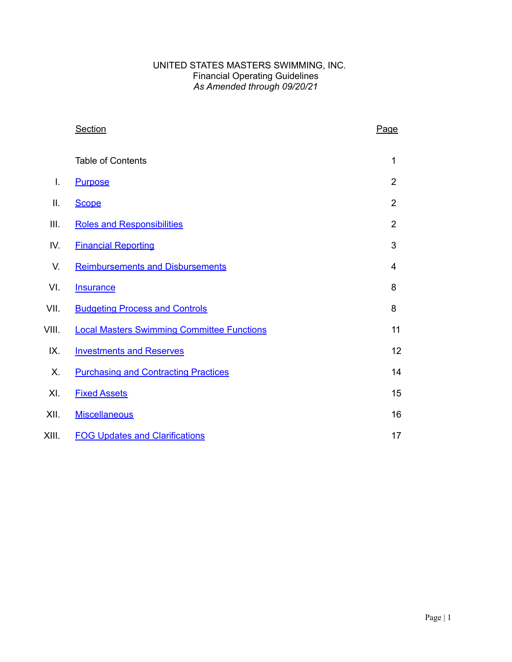### UNITED STATES MASTERS SWIMMING, INC. Financial Operating Guidelines *As Amended through 09/20/21*

|       | <b>Section</b>                                    | Page           |
|-------|---------------------------------------------------|----------------|
|       | <b>Table of Contents</b>                          | 1              |
| I.    | <b>Purpose</b>                                    | 2              |
| Ш.    | <b>Scope</b>                                      | 2              |
| Ш.    | <b>Roles and Responsibilities</b>                 | $\overline{2}$ |
| IV.   | <b>Financial Reporting</b>                        | 3              |
| V.    | <b>Reimbursements and Disbursements</b>           | 4              |
| VI.   | <b>Insurance</b>                                  | 8              |
| VII.  | <b>Budgeting Process and Controls</b>             | 8              |
| VIII. | <b>Local Masters Swimming Committee Functions</b> | 11             |
| IX.   | <b>Investments and Reserves</b>                   | 12             |
| Х.    | <b>Purchasing and Contracting Practices</b>       | 14             |
| XI.   | <b>Fixed Assets</b>                               | 15             |
| XII.  | <b>Miscellaneous</b>                              | 16             |
| XIII. | <b>FOG Updates and Clarifications</b>             | 17             |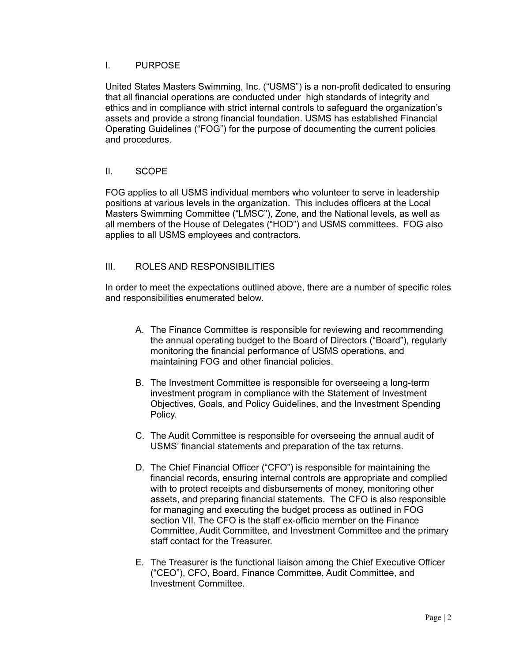### <span id="page-1-0"></span>I. PURPOSE

United States Masters Swimming, Inc. ("USMS") is a non-profit dedicated to ensuring that all financial operations are conducted under high standards of integrity and ethics and in compliance with strict internal controls to safeguard the organization's assets and provide a strong financial foundation. USMS has established Financial Operating Guidelines ("FOG") for the purpose of documenting the current policies and procedures.

# <span id="page-1-1"></span>II. SCOPE

FOG applies to all USMS individual members who volunteer to serve in leadership positions at various levels in the organization. This includes officers at the Local Masters Swimming Committee ("LMSC"), Zone, and the National levels, as well as all members of the House of Delegates ("HOD") and USMS committees. FOG also applies to all USMS employees and contractors.

# <span id="page-1-2"></span>III. ROLES AND RESPONSIBILITIES

In order to meet the expectations outlined above, there are a number of specific roles and responsibilities enumerated below.

- A. The Finance Committee is responsible for reviewing and recommending the annual operating budget to the Board of Directors ("Board"), regularly monitoring the financial performance of USMS operations, and maintaining FOG and other financial policies.
- B. The Investment Committee is responsible for overseeing a long-term investment program in compliance with the Statement of Investment Objectives, Goals, and Policy Guidelines, and the Investment Spending Policy.
- C. The Audit Committee is responsible for overseeing the annual audit of USMS' financial statements and preparation of the tax returns.
- D. The Chief Financial Officer ("CFO") is responsible for maintaining the financial records, ensuring internal controls are appropriate and complied with to protect receipts and disbursements of money, monitoring other assets, and preparing financial statements. The CFO is also responsible for managing and executing the budget process as outlined in FOG section VII. The CFO is the staff ex-officio member on the Finance Committee, Audit Committee, and Investment Committee and the primary staff contact for the Treasurer.
- E. The Treasurer is the functional liaison among the Chief Executive Officer ("CEO"), CFO, Board, Finance Committee, Audit Committee, and Investment Committee.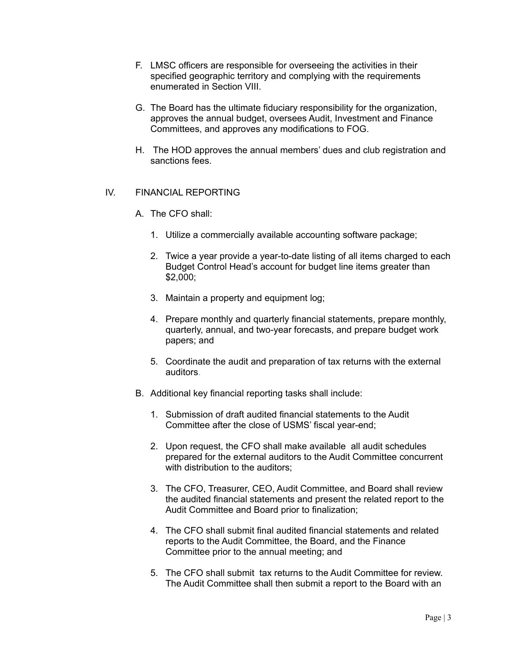- F. LMSC officers are responsible for overseeing the activities in their specified geographic territory and complying with the requirements enumerated in Section VIII.
- G. The Board has the ultimate fiduciary responsibility for the organization, approves the annual budget, oversees Audit, Investment and Finance Committees, and approves any modifications to FOG.
- H. The HOD approves the annual members' dues and club registration and sanctions fees.

### <span id="page-2-0"></span>IV. FINANCIAL REPORTING

- A. The CFO shall:
	- 1. Utilize a commercially available accounting software package;
	- 2. Twice a year provide a year-to-date listing of all items charged to each Budget Control Head's account for budget line items greater than \$2,000;
	- 3. Maintain a property and equipment log;
	- 4. Prepare monthly and quarterly financial statements, prepare monthly, quarterly, annual, and two-year forecasts, and prepare budget work papers; and
	- 5. Coordinate the audit and preparation of tax returns with the external auditors.
- B. Additional key financial reporting tasks shall include:
	- 1. Submission of draft audited financial statements to the Audit Committee after the close of USMS' fiscal year-end;
	- 2. Upon request, the CFO shall make available all audit schedules prepared for the external auditors to the Audit Committee concurrent with distribution to the auditors;
	- 3. The CFO, Treasurer, CEO, Audit Committee, and Board shall review the audited financial statements and present the related report to the Audit Committee and Board prior to finalization;
	- 4. The CFO shall submit final audited financial statements and related reports to the Audit Committee, the Board, and the Finance Committee prior to the annual meeting; and
	- 5. The CFO shall submit tax returns to the Audit Committee for review. The Audit Committee shall then submit a report to the Board with an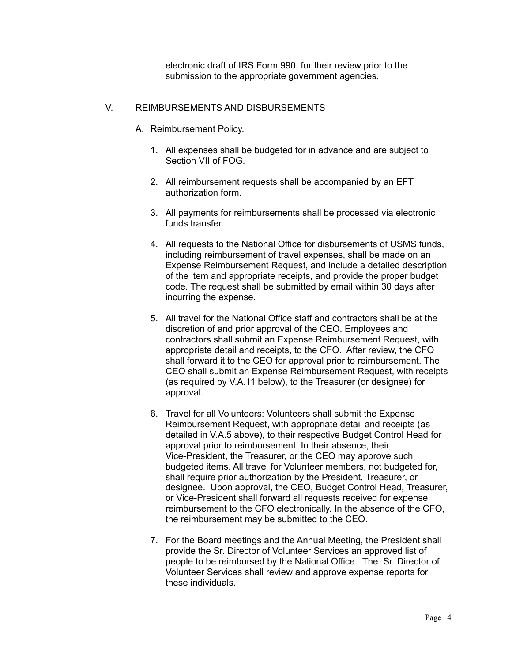electronic draft of IRS Form 990, for their review prior to the submission to the appropriate government agencies.

# <span id="page-3-0"></span>V. REIMBURSEMENTS AND DISBURSEMENTS

- A. Reimbursement Policy.
	- 1. All expenses shall be budgeted for in advance and are subject to Section VII of FOG.
	- 2. All reimbursement requests shall be accompanied by an EFT authorization form.
	- 3. All payments for reimbursements shall be processed via electronic funds transfer.
	- 4. All requests to the National Office for disbursements of USMS funds, including reimbursement of travel expenses, shall be made on an Expense Reimbursement Request, and include a detailed description of the item and appropriate receipts, and provide the proper budget code. The request shall be submitted by email within 30 days after incurring the expense.
	- 5. All travel for the National Office staff and contractors shall be at the discretion of and prior approval of the CEO. Employees and contractors shall submit an Expense Reimbursement Request, with appropriate detail and receipts, to the CFO. After review, the CFO shall forward it to the CEO for approval prior to reimbursement. The CEO shall submit an Expense Reimbursement Request, with receipts (as required by V.A.11 below), to the Treasurer (or designee) for approval.
	- 6. Travel for all Volunteers: Volunteers shall submit the Expense Reimbursement Request, with appropriate detail and receipts (as detailed in V.A.5 above), to their respective Budget Control Head for approval prior to reimbursement. In their absence, their Vice-President, the Treasurer, or the CEO may approve such budgeted items. All travel for Volunteer members, not budgeted for, shall require prior authorization by the President, Treasurer, or designee. Upon approval, the CEO, Budget Control Head, Treasurer, or Vice-President shall forward all requests received for expense reimbursement to the CFO electronically. In the absence of the CFO, the reimbursement may be submitted to the CEO.
	- 7. For the Board meetings and the Annual Meeting, the President shall provide the Sr. Director of Volunteer Services an approved list of people to be reimbursed by the National Office. The Sr. Director of Volunteer Services shall review and approve expense reports for these individuals.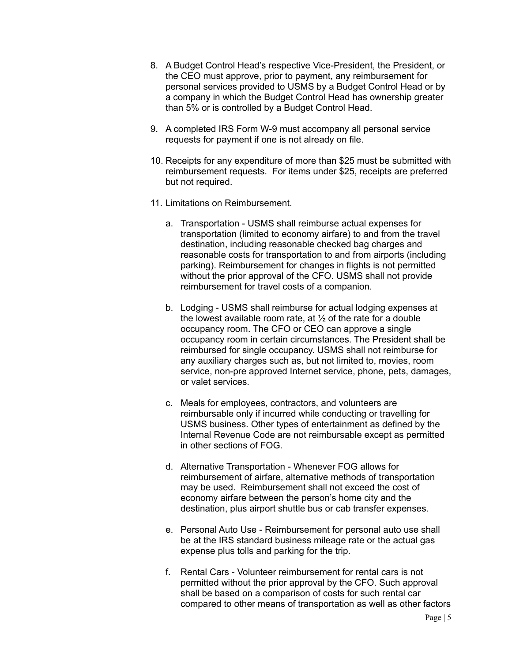- 8. A Budget Control Head's respective Vice-President, the President, or the CEO must approve, prior to payment, any reimbursement for personal services provided to USMS by a Budget Control Head or by a company in which the Budget Control Head has ownership greater than 5% or is controlled by a Budget Control Head.
- 9. A completed IRS Form W-9 must accompany all personal service requests for payment if one is not already on file.
- 10. Receipts for any expenditure of more than \$25 must be submitted with reimbursement requests. For items under \$25, receipts are preferred but not required.
- 11. Limitations on Reimbursement.
	- a. Transportation USMS shall reimburse actual expenses for transportation (limited to economy airfare) to and from the travel destination, including reasonable checked bag charges and reasonable costs for transportation to and from airports (including parking). Reimbursement for changes in flights is not permitted without the prior approval of the CFO. USMS shall not provide reimbursement for travel costs of a companion.
	- b. Lodging USMS shall reimburse for actual lodging expenses at the lowest available room rate, at  $\frac{1}{2}$  of the rate for a double occupancy room. The CFO or CEO can approve a single occupancy room in certain circumstances. The President shall be reimbursed for single occupancy. USMS shall not reimburse for any auxiliary charges such as, but not limited to, movies, room service, non-pre approved Internet service, phone, pets, damages, or valet services.
	- c. Meals for employees, contractors, and volunteers are reimbursable only if incurred while conducting or travelling for USMS business. Other types of entertainment as defined by the Internal Revenue Code are not reimbursable except as permitted in other sections of FOG.
	- d. Alternative Transportation Whenever FOG allows for reimbursement of airfare, alternative methods of transportation may be used. Reimbursement shall not exceed the cost of economy airfare between the person's home city and the destination, plus airport shuttle bus or cab transfer expenses.
	- e. Personal Auto Use Reimbursement for personal auto use shall be at the IRS standard business mileage rate or the actual gas expense plus tolls and parking for the trip.
	- f. Rental Cars Volunteer reimbursement for rental cars is not permitted without the prior approval by the CFO. Such approval shall be based on a comparison of costs for such rental car compared to other means of transportation as well as other factors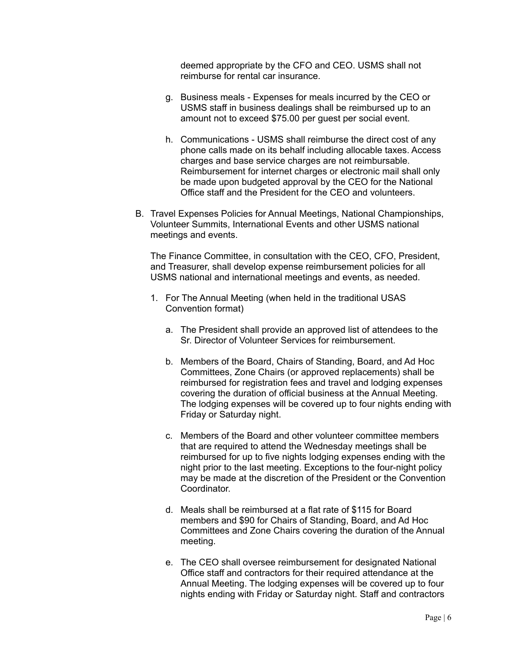deemed appropriate by the CFO and CEO. USMS shall not reimburse for rental car insurance.

- g. Business meals Expenses for meals incurred by the CEO or USMS staff in business dealings shall be reimbursed up to an amount not to exceed \$75.00 per guest per social event.
- h. Communications USMS shall reimburse the direct cost of any phone calls made on its behalf including allocable taxes. Access charges and base service charges are not reimbursable. Reimbursement for internet charges or electronic mail shall only be made upon budgeted approval by the CEO for the National Office staff and the President for the CEO and volunteers.
- B. Travel Expenses Policies for Annual Meetings, National Championships, Volunteer Summits, International Events and other USMS national meetings and events.

The Finance Committee, in consultation with the CEO, CFO, President, and Treasurer, shall develop expense reimbursement policies for all USMS national and international meetings and events, as needed.

- 1. For The Annual Meeting (when held in the traditional USAS Convention format)
	- a. The President shall provide an approved list of attendees to the Sr. Director of Volunteer Services for reimbursement.
	- b. Members of the Board, Chairs of Standing, Board, and Ad Hoc Committees, Zone Chairs (or approved replacements) shall be reimbursed for registration fees and travel and lodging expenses covering the duration of official business at the Annual Meeting. The lodging expenses will be covered up to four nights ending with Friday or Saturday night.
	- c. Members of the Board and other volunteer committee members that are required to attend the Wednesday meetings shall be reimbursed for up to five nights lodging expenses ending with the night prior to the last meeting. Exceptions to the four-night policy may be made at the discretion of the President or the Convention **Coordinator**
	- d. Meals shall be reimbursed at a flat rate of \$115 for Board members and \$90 for Chairs of Standing, Board, and Ad Hoc Committees and Zone Chairs covering the duration of the Annual meeting.
	- e. The CEO shall oversee reimbursement for designated National Office staff and contractors for their required attendance at the Annual Meeting. The lodging expenses will be covered up to four nights ending with Friday or Saturday night. Staff and contractors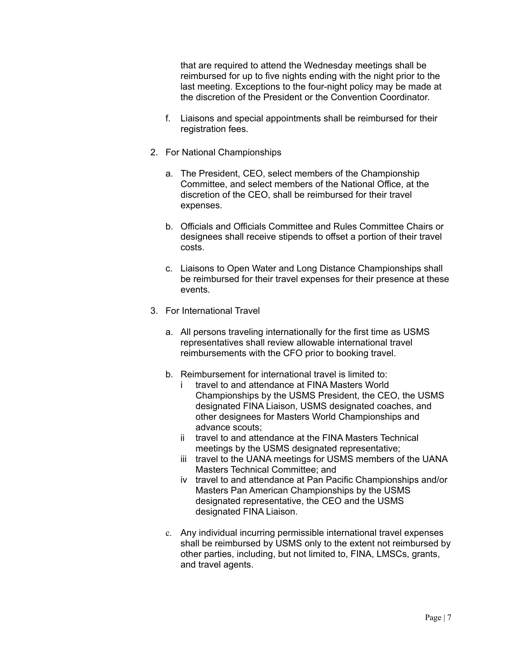that are required to attend the Wednesday meetings shall be reimbursed for up to five nights ending with the night prior to the last meeting. Exceptions to the four-night policy may be made at the discretion of the President or the Convention Coordinator.

- f. Liaisons and special appointments shall be reimbursed for their registration fees.
- 2. For National Championships
	- a. The President, CEO, select members of the Championship Committee, and select members of the National Office, at the discretion of the CEO, shall be reimbursed for their travel expenses.
	- b. Officials and Officials Committee and Rules Committee Chairs or designees shall receive stipends to offset a portion of their travel costs.
	- c. Liaisons to Open Water and Long Distance Championships shall be reimbursed for their travel expenses for their presence at these events.
- 3. For International Travel
	- a. All persons traveling internationally for the first time as USMS representatives shall review allowable international travel reimbursements with the CFO prior to booking travel.
	- b. Reimbursement for international travel is limited to:
		- i travel to and attendance at FINA Masters World Championships by the USMS President, the CEO, the USMS designated FINA Liaison, USMS designated coaches, and other designees for Masters World Championships and advance scouts;
		- ii travel to and attendance at the FINA Masters Technical meetings by the USMS designated representative;
		- iii travel to the UANA meetings for USMS members of the UANA Masters Technical Committee; and
		- iv travel to and attendance at Pan Pacific Championships and/or Masters Pan American Championships by the USMS designated representative, the CEO and the USMS designated FINA Liaison.
	- c. Any individual incurring permissible international travel expenses shall be reimbursed by USMS only to the extent not reimbursed by other parties, including, but not limited to, FINA, LMSCs, grants, and travel agents.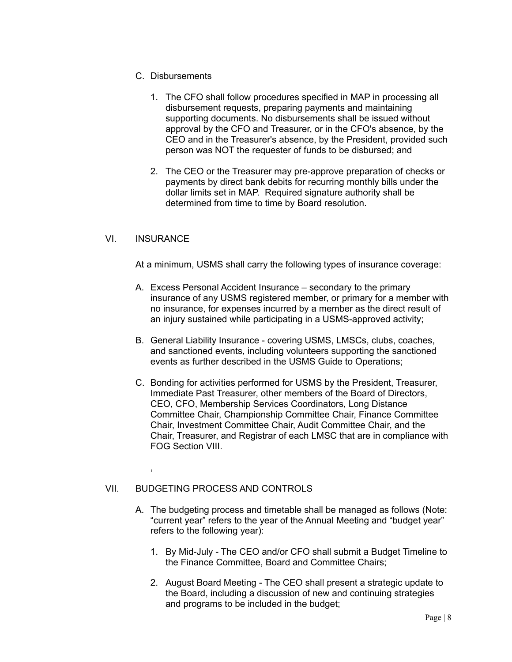- C. Disbursements
	- 1. The CFO shall follow procedures specified in MAP in processing all disbursement requests, preparing payments and maintaining supporting documents. No disbursements shall be issued without approval by the CFO and Treasurer, or in the CFO's absence, by the CEO and in the Treasurer's absence, by the President, provided such person was NOT the requester of funds to be disbursed; and
	- 2. The CEO or the Treasurer may pre-approve preparation of checks or payments by direct bank debits for recurring monthly bills under the dollar limits set in MAP. Required signature authority shall be determined from time to time by Board resolution.

## <span id="page-7-0"></span>VI. INSURANCE

,

At a minimum, USMS shall carry the following types of insurance coverage:

- A. Excess Personal Accident Insurance secondary to the primary insurance of any USMS registered member, or primary for a member with no insurance, for expenses incurred by a member as the direct result of an injury sustained while participating in a USMS-approved activity;
- B. General Liability Insurance covering USMS, LMSCs, clubs, coaches, and sanctioned events, including volunteers supporting the sanctioned events as further described in the USMS Guide to Operations;
- C. Bonding for activities performed for USMS by the President, Treasurer, Immediate Past Treasurer, other members of the Board of Directors, CEO, CFO, Membership Services Coordinators, Long Distance Committee Chair, Championship Committee Chair, Finance Committee Chair, Investment Committee Chair, Audit Committee Chair, and the Chair, Treasurer, and Registrar of each LMSC that are in compliance with FOG Section VIII.

#### <span id="page-7-1"></span>VII. BUDGETING PROCESS AND CONTROLS

- A. The budgeting process and timetable shall be managed as follows (Note: "current year" refers to the year of the Annual Meeting and "budget year" refers to the following year):
	- 1. By Mid-July The CEO and/or CFO shall submit a Budget Timeline to the Finance Committee, Board and Committee Chairs;
	- 2. August Board Meeting The CEO shall present a strategic update to the Board, including a discussion of new and continuing strategies and programs to be included in the budget;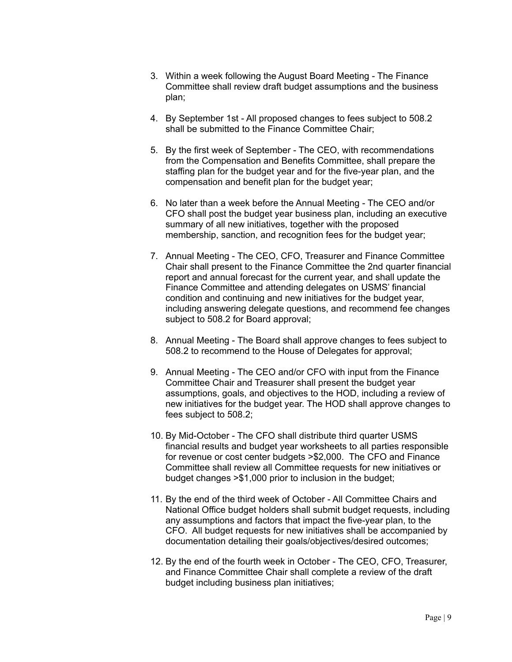- 3. Within a week following the August Board Meeting The Finance Committee shall review draft budget assumptions and the business plan;
- 4. By September 1st All proposed changes to fees subject to 508.2 shall be submitted to the Finance Committee Chair;
- 5. By the first week of September The CEO, with recommendations from the Compensation and Benefits Committee, shall prepare the staffing plan for the budget year and for the five-year plan, and the compensation and benefit plan for the budget year;
- 6. No later than a week before the Annual Meeting The CEO and/or CFO shall post the budget year business plan, including an executive summary of all new initiatives, together with the proposed membership, sanction, and recognition fees for the budget year;
- 7. Annual Meeting The CEO, CFO, Treasurer and Finance Committee Chair shall present to the Finance Committee the 2nd quarter financial report and annual forecast for the current year, and shall update the Finance Committee and attending delegates on USMS' financial condition and continuing and new initiatives for the budget year, including answering delegate questions, and recommend fee changes subject to 508.2 for Board approval;
- 8. Annual Meeting The Board shall approve changes to fees subject to 508.2 to recommend to the House of Delegates for approval;
- 9. Annual Meeting The CEO and/or CFO with input from the Finance Committee Chair and Treasurer shall present the budget year assumptions, goals, and objectives to the HOD, including a review of new initiatives for the budget year. The HOD shall approve changes to fees subject to 508.2;
- 10. By Mid-October The CFO shall distribute third quarter USMS financial results and budget year worksheets to all parties responsible for revenue or cost center budgets >\$2,000. The CFO and Finance Committee shall review all Committee requests for new initiatives or budget changes >\$1,000 prior to inclusion in the budget;
- 11. By the end of the third week of October All Committee Chairs and National Office budget holders shall submit budget requests, including any assumptions and factors that impact the five-year plan, to the CFO. All budget requests for new initiatives shall be accompanied by documentation detailing their goals/objectives/desired outcomes;
- 12. By the end of the fourth week in October The CEO, CFO, Treasurer, and Finance Committee Chair shall complete a review of the draft budget including business plan initiatives;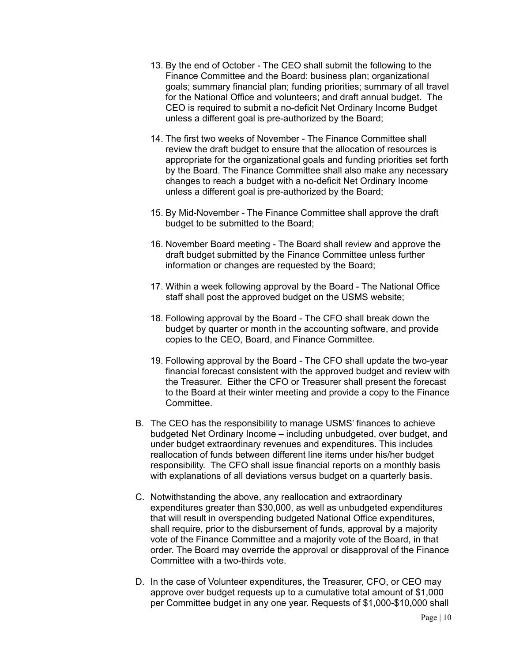- 13. By the end of October The CEO shall submit the following to the Finance Committee and the Board: business plan; organizational goals; summary financial plan; funding priorities; summary of all travel for the National Office and volunteers; and draft annual budget. The CEO is required to submit a no-deficit Net Ordinary Income Budget unless a different goal is pre-authorized by the Board;
- 14. The first two weeks of November The Finance Committee shall review the draft budget to ensure that the allocation of resources is appropriate for the organizational goals and funding priorities set forth by the Board. The Finance Committee shall also make any necessary changes to reach a budget with a no-deficit Net Ordinary Income unless a different goal is pre-authorized by the Board;
- 15. By Mid-November The Finance Committee shall approve the draft budget to be submitted to the Board;
- 16. November Board meeting The Board shall review and approve the draft budget submitted by the Finance Committee unless further information or changes are requested by the Board;
- 17. Within a week following approval by the Board The National Office staff shall post the approved budget on the USMS website;
- 18. Following approval by the Board The CFO shall break down the budget by quarter or month in the accounting software, and provide copies to the CEO, Board, and Finance Committee.
- 19. Following approval by the Board The CFO shall update the two-year financial forecast consistent with the approved budget and review with the Treasurer. Either the CFO or Treasurer shall present the forecast to the Board at their winter meeting and provide a copy to the Finance Committee.
- B. The CEO has the responsibility to manage USMS' finances to achieve budgeted Net Ordinary Income – including unbudgeted, over budget, and under budget extraordinary revenues and expenditures. This includes reallocation of funds between different line items under his/her budget responsibility. The CFO shall issue financial reports on a monthly basis with explanations of all deviations versus budget on a quarterly basis.
- C. Notwithstanding the above, any reallocation and extraordinary expenditures greater than \$30,000, as well as unbudgeted expenditures that will result in overspending budgeted National Office expenditures, shall require, prior to the disbursement of funds, approval by a majority vote of the Finance Committee and a majority vote of the Board, in that order. The Board may override the approval or disapproval of the Finance Committee with a two-thirds vote.
- D. In the case of Volunteer expenditures, the Treasurer, CFO, or CEO may approve over budget requests up to a cumulative total amount of \$1,000 per Committee budget in any one year. Requests of \$1,000-\$10,000 shall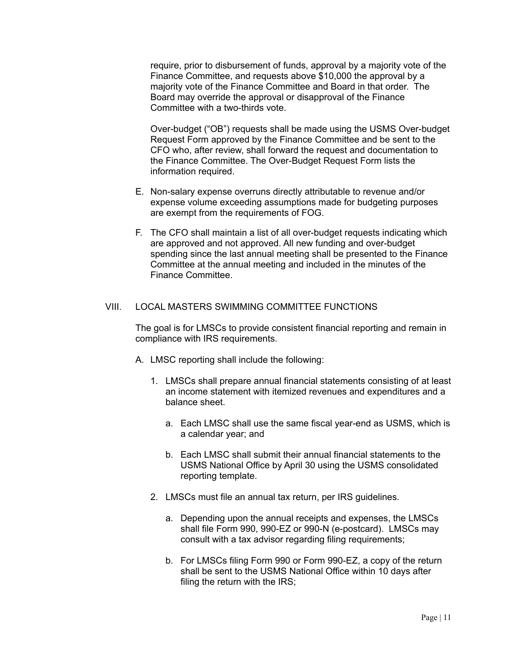require, prior to disbursement of funds, approval by a majority vote of the Finance Committee, and requests above \$10,000 the approval by a majority vote of the Finance Committee and Board in that order. The Board may override the approval or disapproval of the Finance Committee with a two-thirds vote.

Over-budget ("OB") requests shall be made using the USMS Over-budget Request Form approved by the Finance Committee and be sent to the CFO who, after review, shall forward the request and documentation to the Finance Committee. The Over-Budget Request Form lists the information required.

- E. Non-salary expense overruns directly attributable to revenue and/or expense volume exceeding assumptions made for budgeting purposes are exempt from the requirements of FOG.
- F. The CFO shall maintain a list of all over-budget requests indicating which are approved and not approved. All new funding and over-budget spending since the last annual meeting shall be presented to the Finance Committee at the annual meeting and included in the minutes of the Finance Committee.

#### <span id="page-10-0"></span>VIII. LOCAL MASTERS SWIMMING COMMITTEE FUNCTIONS

The goal is for LMSCs to provide consistent financial reporting and remain in compliance with IRS requirements.

- A. LMSC reporting shall include the following:
	- 1. LMSCs shall prepare annual financial statements consisting of at least an income statement with itemized revenues and expenditures and a balance sheet.
		- a. Each LMSC shall use the same fiscal year-end as USMS, which is a calendar year; and
		- b. Each LMSC shall submit their annual financial statements to the USMS National Office by April 30 using the USMS consolidated reporting template.
	- 2. LMSCs must file an annual tax return, per IRS guidelines.
		- a. Depending upon the annual receipts and expenses, the LMSCs shall file Form 990, 990-EZ or 990-N (e-postcard). LMSCs may consult with a tax advisor regarding filing requirements;
		- b. For LMSCs filing Form 990 or Form 990-EZ, a copy of the return shall be sent to the USMS National Office within 10 days after filing the return with the IRS;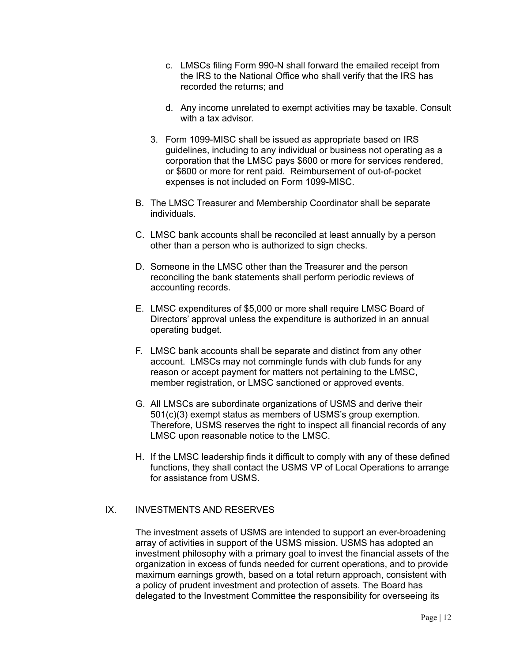- c. LMSCs filing Form 990-N shall forward the emailed receipt from the IRS to the National Office who shall verify that the IRS has recorded the returns; and
- d. Any income unrelated to exempt activities may be taxable. Consult with a tax advisor.
- 3. Form 1099-MISC shall be issued as appropriate based on IRS guidelines, including to any individual or business not operating as a corporation that the LMSC pays \$600 or more for services rendered, or \$600 or more for rent paid. Reimbursement of out-of-pocket expenses is not included on Form 1099-MISC.
- B. The LMSC Treasurer and Membership Coordinator shall be separate individuals.
- C. LMSC bank accounts shall be reconciled at least annually by a person other than a person who is authorized to sign checks.
- D. Someone in the LMSC other than the Treasurer and the person reconciling the bank statements shall perform periodic reviews of accounting records.
- E. LMSC expenditures of \$5,000 or more shall require LMSC Board of Directors' approval unless the expenditure is authorized in an annual operating budget.
- F. LMSC bank accounts shall be separate and distinct from any other account. LMSCs may not commingle funds with club funds for any reason or accept payment for matters not pertaining to the LMSC, member registration, or LMSC sanctioned or approved events.
- G. All LMSCs are subordinate organizations of USMS and derive their 501(c)(3) exempt status as members of USMS's group exemption. Therefore, USMS reserves the right to inspect all financial records of any LMSC upon reasonable notice to the LMSC.
- H. If the LMSC leadership finds it difficult to comply with any of these defined functions, they shall contact the USMS VP of Local Operations to arrange for assistance from USMS.

## <span id="page-11-0"></span>IX. INVESTMENTS AND RESERVES

The investment assets of USMS are intended to support an ever-broadening array of activities in support of the USMS mission. USMS has adopted an investment philosophy with a primary goal to invest the financial assets of the organization in excess of funds needed for current operations, and to provide maximum earnings growth, based on a total return approach, consistent with a policy of prudent investment and protection of assets. The Board has delegated to the Investment Committee the responsibility for overseeing its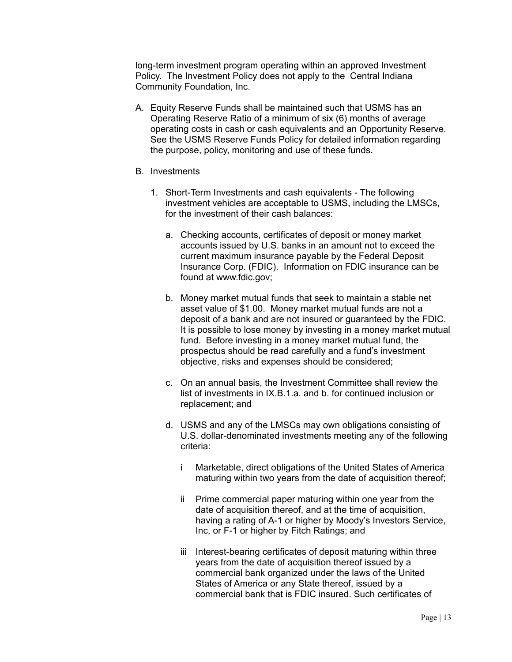long-term investment program operating within an approved Investment Policy. The Investment Policy does not apply to the Central Indiana Community Foundation, Inc.

- A. Equity Reserve Funds shall be maintained such that USMS has an Operating Reserve Ratio of a minimum of six (6) months of average operating costs in cash or cash equivalents and an Opportunity Reserve. See the USMS Reserve Funds Policy for detailed information regarding the purpose, policy, monitoring and use of these funds.
- B. Investments
	- 1. Short-Term Investments and cash equivalents The following investment vehicles are acceptable to USMS, including the LMSCs, for the investment of their cash balances:
		- a. Checking accounts, certificates of deposit or money market accounts issued by U.S. banks in an amount not to exceed the current maximum insurance payable by the Federal Deposit Insurance Corp. (FDIC). Information on FDIC insurance can be found at www.fdic.gov;
		- b. Money market mutual funds that seek to maintain a stable net asset value of \$1.00. Money market mutual funds are not a deposit of a bank and are not insured or guaranteed by the FDIC. It is possible to lose money by investing in a money market mutual fund. Before investing in a money market mutual fund, the prospectus should be read carefully and a fund's investment objective, risks and expenses should be considered;
		- c. On an annual basis, the Investment Committee shall review the list of investments in IX.B.1.a. and b. for continued inclusion or replacement; and
		- d. USMS and any of the LMSCs may own obligations consisting of U.S. dollar-denominated investments meeting any of the following criteria:
			- i Marketable, direct obligations of the United States of America maturing within two years from the date of acquisition thereof;
			- ii Prime commercial paper maturing within one year from the date of acquisition thereof, and at the time of acquisition, having a rating of A-1 or higher by Moody's Investors Service, Inc, or F-1 or higher by Fitch Ratings; and
			- iii Interest-bearing certificates of deposit maturing within three years from the date of acquisition thereof issued by a commercial bank organized under the laws of the United States of America or any State thereof, issued by a commercial bank that is FDIC insured. Such certificates of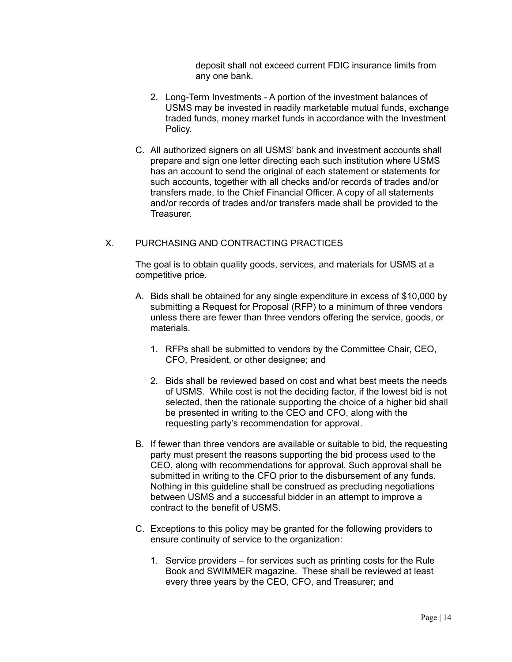deposit shall not exceed current FDIC insurance limits from any one bank.

- 2. Long-Term Investments A portion of the investment balances of USMS may be invested in readily marketable mutual funds, exchange traded funds, money market funds in accordance with the Investment Policy.
- C. All authorized signers on all USMS' bank and investment accounts shall prepare and sign one letter directing each such institution where USMS has an account to send the original of each statement or statements for such accounts, together with all checks and/or records of trades and/or transfers made, to the Chief Financial Officer. A copy of all statements and/or records of trades and/or transfers made shall be provided to the Treasurer.

## <span id="page-13-0"></span>X. PURCHASING AND CONTRACTING PRACTICES

The goal is to obtain quality goods, services, and materials for USMS at a competitive price.

- A. Bids shall be obtained for any single expenditure in excess of \$10,000 by submitting a Request for Proposal (RFP) to a minimum of three vendors unless there are fewer than three vendors offering the service, goods, or materials.
	- 1. RFPs shall be submitted to vendors by the Committee Chair, CEO, CFO, President, or other designee; and
	- 2. Bids shall be reviewed based on cost and what best meets the needs of USMS. While cost is not the deciding factor, if the lowest bid is not selected, then the rationale supporting the choice of a higher bid shall be presented in writing to the CEO and CFO, along with the requesting party's recommendation for approval.
- B. If fewer than three vendors are available or suitable to bid, the requesting party must present the reasons supporting the bid process used to the CEO, along with recommendations for approval. Such approval shall be submitted in writing to the CFO prior to the disbursement of any funds. Nothing in this guideline shall be construed as precluding negotiations between USMS and a successful bidder in an attempt to improve a contract to the benefit of USMS.
- C. Exceptions to this policy may be granted for the following providers to ensure continuity of service to the organization:
	- 1. Service providers for services such as printing costs for the Rule Book and SWIMMER magazine. These shall be reviewed at least every three years by the CEO, CFO, and Treasurer; and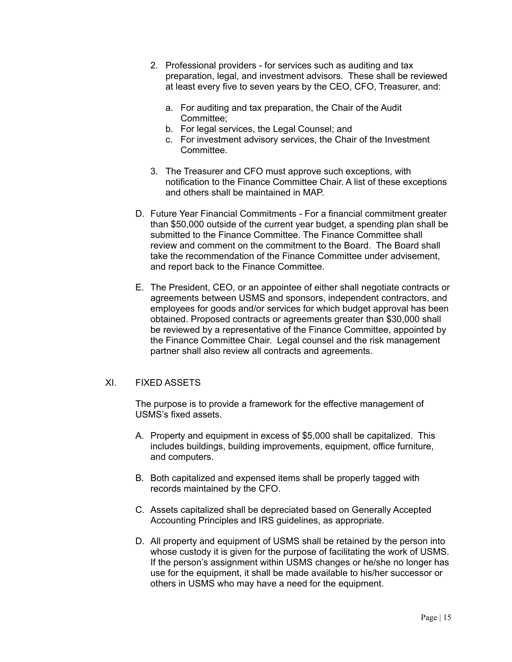- 2. Professional providers for services such as auditing and tax preparation, legal, and investment advisors. These shall be reviewed at least every five to seven years by the CEO, CFO, Treasurer, and:
	- a. For auditing and tax preparation, the Chair of the Audit Committee;
	- b. For legal services, the Legal Counsel; and
	- c. For investment advisory services, the Chair of the Investment Committee.
- 3. The Treasurer and CFO must approve such exceptions, with notification to the Finance Committee Chair. A list of these exceptions and others shall be maintained in MAP.
- D. Future Year Financial Commitments For a financial commitment greater than \$50,000 outside of the current year budget, a spending plan shall be submitted to the Finance Committee. The Finance Committee shall review and comment on the commitment to the Board. The Board shall take the recommendation of the Finance Committee under advisement, and report back to the Finance Committee.
- E. The President, CEO, or an appointee of either shall negotiate contracts or agreements between USMS and sponsors, independent contractors, and employees for goods and/or services for which budget approval has been obtained. Proposed contracts or agreements greater than \$30,000 shall be reviewed by a representative of the Finance Committee, appointed by the Finance Committee Chair. Legal counsel and the risk management partner shall also review all contracts and agreements.

### <span id="page-14-0"></span>XI. FIXED ASSETS

The purpose is to provide a framework for the effective management of USMS's fixed assets.

- A. Property and equipment in excess of \$5,000 shall be capitalized. This includes buildings, building improvements, equipment, office furniture, and computers.
- B. Both capitalized and expensed items shall be properly tagged with records maintained by the CFO.
- C. Assets capitalized shall be depreciated based on Generally Accepted Accounting Principles and IRS guidelines, as appropriate.
- D. All property and equipment of USMS shall be retained by the person into whose custody it is given for the purpose of facilitating the work of USMS. If the person's assignment within USMS changes or he/she no longer has use for the equipment, it shall be made available to his/her successor or others in USMS who may have a need for the equipment.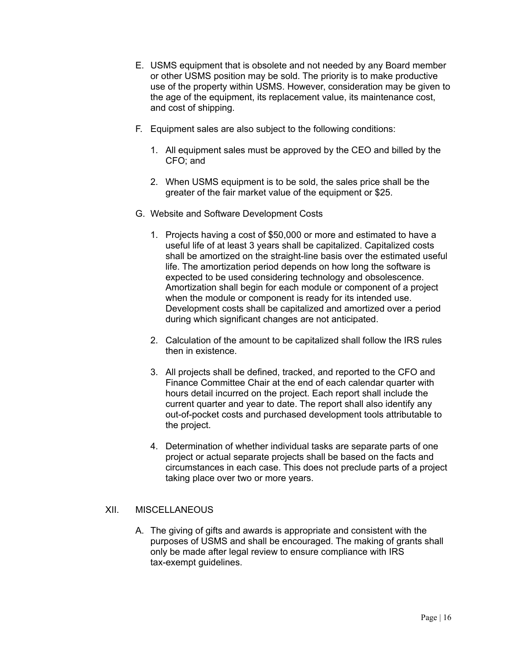- E. USMS equipment that is obsolete and not needed by any Board member or other USMS position may be sold. The priority is to make productive use of the property within USMS. However, consideration may be given to the age of the equipment, its replacement value, its maintenance cost, and cost of shipping.
- F. Equipment sales are also subject to the following conditions:
	- 1. All equipment sales must be approved by the CEO and billed by the CFO; and
	- 2. When USMS equipment is to be sold, the sales price shall be the greater of the fair market value of the equipment or \$25.
- G. Website and Software Development Costs
	- 1. Projects having a cost of \$50,000 or more and estimated to have a useful life of at least 3 years shall be capitalized. Capitalized costs shall be amortized on the straight-line basis over the estimated useful life. The amortization period depends on how long the software is expected to be used considering technology and obsolescence. Amortization shall begin for each module or component of a project when the module or component is ready for its intended use. Development costs shall be capitalized and amortized over a period during which significant changes are not anticipated.
	- 2. Calculation of the amount to be capitalized shall follow the IRS rules then in existence.
	- 3. All projects shall be defined, tracked, and reported to the CFO and Finance Committee Chair at the end of each calendar quarter with hours detail incurred on the project. Each report shall include the current quarter and year to date. The report shall also identify any out-of-pocket costs and purchased development tools attributable to the project.
	- 4. Determination of whether individual tasks are separate parts of one project or actual separate projects shall be based on the facts and circumstances in each case. This does not preclude parts of a project taking place over two or more years.

#### <span id="page-15-0"></span>XII. MISCELLANEOUS

A. The giving of gifts and awards is appropriate and consistent with the purposes of USMS and shall be encouraged. The making of grants shall only be made after legal review to ensure compliance with IRS tax-exempt guidelines.